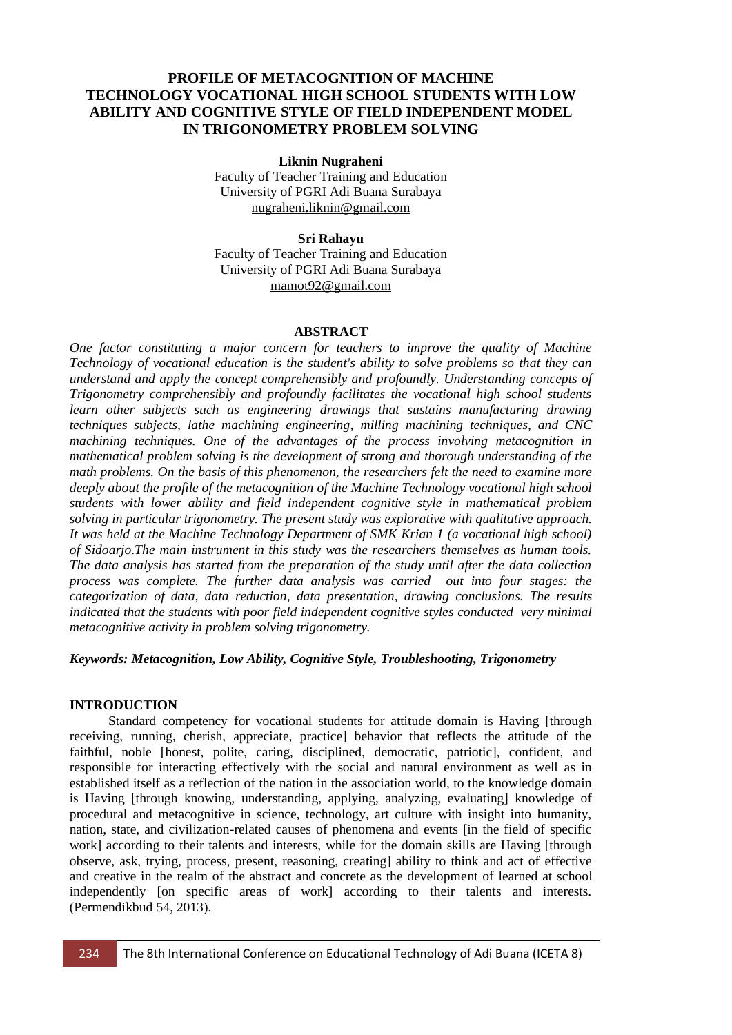# **PROFILE OF METACOGNITION OF MACHINE TECHNOLOGY VOCATIONAL HIGH SCHOOL STUDENTS WITH LOW ABILITY AND COGNITIVE STYLE OF FIELD INDEPENDENT MODEL IN TRIGONOMETRY PROBLEM SOLVING**

#### **Liknin Nugraheni**

Faculty of Teacher Training and Education University of PGRI Adi Buana Surabaya [nugraheni.liknin@gmail.com](mailto:nugraheni.liknin@gmail.com)

# **Sri Rahayu**

Faculty of Teacher Training and Education University of PGRI Adi Buana Surabaya [mamot92@gmail.com](mailto:mamot92@gmail.com)

# **ABSTRACT**

*One factor constituting a major concern for teachers to improve the quality of Machine Technology of vocational education is the student's ability to solve problems so that they can understand and apply the concept comprehensibly and profoundly. Understanding concepts of Trigonometry comprehensibly and profoundly facilitates the vocational high school students learn other subjects such as engineering drawings that sustains manufacturing drawing techniques subjects, lathe machining engineering, milling machining techniques, and CNC machining techniques. One of the advantages of the process involving metacognition in mathematical problem solving is the development of strong and thorough understanding of the math problems. On the basis of this phenomenon, the researchers felt the need to examine more deeply about the profile of the metacognition of the Machine Technology vocational high school students with lower ability and field independent cognitive style in mathematical problem solving in particular trigonometry. The present study was explorative with qualitative approach. It was held at the Machine Technology Department of SMK Krian 1 (a vocational high school) of Sidoarjo.The main instrument in this study was the researchers themselves as human tools. The data analysis has started from the preparation of the study until after the data collection process was complete. The further data analysis was carried out into four stages: the categorization of data, data reduction, data presentation, drawing conclusions. The results indicated that the students with poor field independent cognitive styles conducted very minimal metacognitive activity in problem solving trigonometry.*

#### *Keywords: Metacognition, Low Ability, Cognitive Style, Troubleshooting, Trigonometry*

#### **INTRODUCTION**

Standard competency for vocational students for attitude domain is Having [through receiving, running, cherish, appreciate, practice] behavior that reflects the attitude of the faithful, noble [honest, polite, caring, disciplined, democratic, patriotic], confident, and responsible for interacting effectively with the social and natural environment as well as in established itself as a reflection of the nation in the association world, to the knowledge domain is Having [through knowing, understanding, applying, analyzing, evaluating] knowledge of procedural and metacognitive in science, technology, art culture with insight into humanity, nation, state, and civilization-related causes of phenomena and events [in the field of specific work] according to their talents and interests, while for the domain skills are Having [through observe, ask, trying, process, present, reasoning, creating] ability to think and act of effective and creative in the realm of the abstract and concrete as the development of learned at school independently [on specific areas of work] according to their talents and interests. (Permendikbud 54, 2013).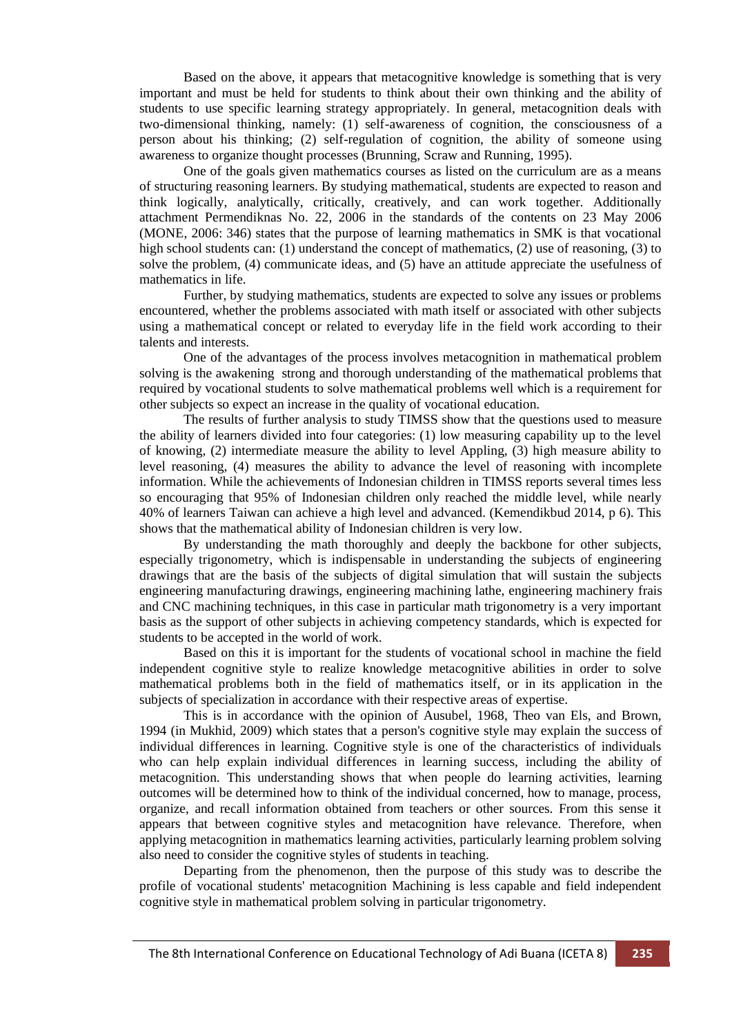Based on the above, it appears that metacognitive knowledge is something that is very important and must be held for students to think about their own thinking and the ability of students to use specific learning strategy appropriately. In general, metacognition deals with two-dimensional thinking, namely: (1) self-awareness of cognition, the consciousness of a person about his thinking; (2) self-regulation of cognition, the ability of someone using awareness to organize thought processes (Brunning, Scraw and Running, 1995).

One of the goals given mathematics courses as listed on the curriculum are as a means of structuring reasoning learners. By studying mathematical, students are expected to reason and think logically, analytically, critically, creatively, and can work together. Additionally attachment Permendiknas No. 22, 2006 in the standards of the contents on 23 May 2006 (MONE, 2006: 346) states that the purpose of learning mathematics in SMK is that vocational high school students can: (1) understand the concept of mathematics, (2) use of reasoning, (3) to solve the problem, (4) communicate ideas, and  $(5)$  have an attitude appreciate the usefulness of mathematics in life.

Further, by studying mathematics, students are expected to solve any issues or problems encountered, whether the problems associated with math itself or associated with other subjects using a mathematical concept or related to everyday life in the field work according to their talents and interests.

One of the advantages of the process involves metacognition in mathematical problem solving is the awakening strong and thorough understanding of the mathematical problems that required by vocational students to solve mathematical problems well which is a requirement for other subjects so expect an increase in the quality of vocational education.

The results of further analysis to study TIMSS show that the questions used to measure the ability of learners divided into four categories: (1) low measuring capability up to the level of knowing, (2) intermediate measure the ability to level Appling, (3) high measure ability to level reasoning, (4) measures the ability to advance the level of reasoning with incomplete information. While the achievements of Indonesian children in TIMSS reports several times less so encouraging that 95% of Indonesian children only reached the middle level, while nearly 40% of learners Taiwan can achieve a high level and advanced. (Kemendikbud 2014, p 6). This shows that the mathematical ability of Indonesian children is very low.

By understanding the math thoroughly and deeply the backbone for other subjects, especially trigonometry, which is indispensable in understanding the subjects of engineering drawings that are the basis of the subjects of digital simulation that will sustain the subjects engineering manufacturing drawings, engineering machining lathe, engineering machinery frais and CNC machining techniques, in this case in particular math trigonometry is a very important basis as the support of other subjects in achieving competency standards, which is expected for students to be accepted in the world of work.

Based on this it is important for the students of vocational school in machine the field independent cognitive style to realize knowledge metacognitive abilities in order to solve mathematical problems both in the field of mathematics itself, or in its application in the subjects of specialization in accordance with their respective areas of expertise.

This is in accordance with the opinion of Ausubel, 1968, Theo van Els, and Brown, 1994 (in Mukhid, 2009) which states that a person's cognitive style may explain the success of individual differences in learning. Cognitive style is one of the characteristics of individuals who can help explain individual differences in learning success, including the ability of metacognition. This understanding shows that when people do learning activities, learning outcomes will be determined how to think of the individual concerned, how to manage, process, organize, and recall information obtained from teachers or other sources. From this sense it appears that between cognitive styles and metacognition have relevance. Therefore, when applying metacognition in mathematics learning activities, particularly learning problem solving also need to consider the cognitive styles of students in teaching.

Departing from the phenomenon, then the purpose of this study was to describe the profile of vocational students' metacognition Machining is less capable and field independent cognitive style in mathematical problem solving in particular trigonometry.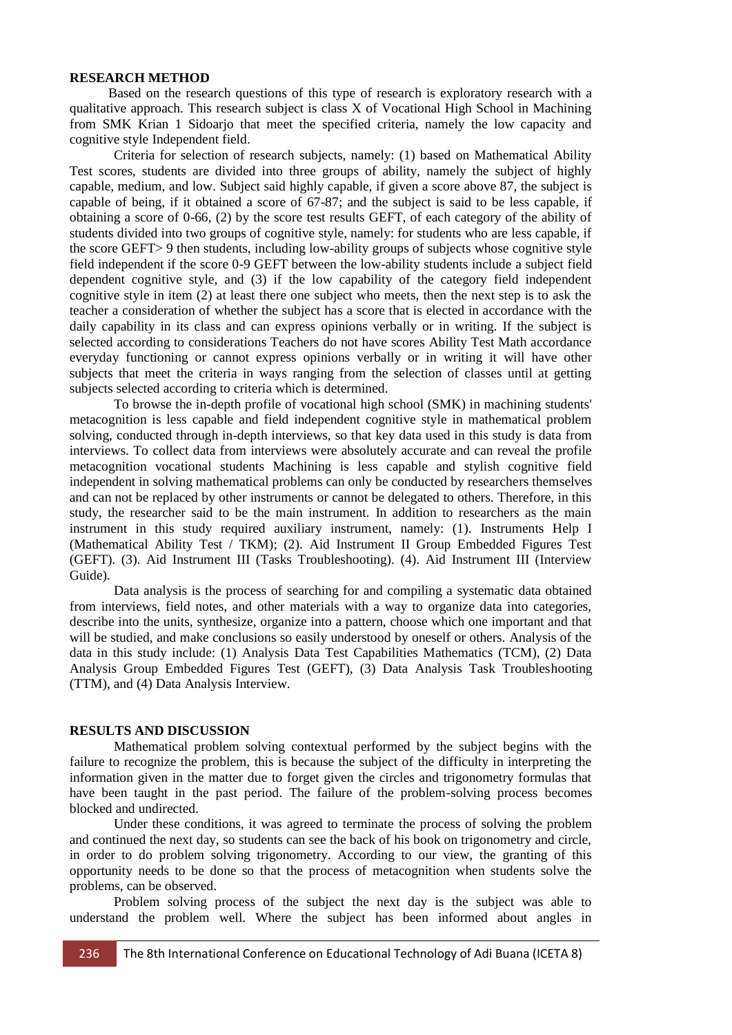#### **RESEARCH METHOD**

Based on the research questions of this type of research is exploratory research with a qualitative approach. This research subject is class X of Vocational High School in Machining from SMK Krian 1 Sidoarjo that meet the specified criteria, namely the low capacity and cognitive style Independent field.

Criteria for selection of research subjects, namely: (1) based on Mathematical Ability Test scores, students are divided into three groups of ability, namely the subject of highly capable, medium, and low. Subject said highly capable, if given a score above 87, the subject is capable of being, if it obtained a score of 67-87; and the subject is said to be less capable, if obtaining a score of 0-66, (2) by the score test results GEFT, of each category of the ability of students divided into two groups of cognitive style, namely: for students who are less capable, if the score GEFT> 9 then students, including low-ability groups of subjects whose cognitive style field independent if the score 0-9 GEFT between the low-ability students include a subject field dependent cognitive style, and (3) if the low capability of the category field independent cognitive style in item (2) at least there one subject who meets, then the next step is to ask the teacher a consideration of whether the subject has a score that is elected in accordance with the daily capability in its class and can express opinions verbally or in writing. If the subject is selected according to considerations Teachers do not have scores Ability Test Math accordance everyday functioning or cannot express opinions verbally or in writing it will have other subjects that meet the criteria in ways ranging from the selection of classes until at getting subjects selected according to criteria which is determined.

To browse the in-depth profile of vocational high school (SMK) in machining students' metacognition is less capable and field independent cognitive style in mathematical problem solving, conducted through in-depth interviews, so that key data used in this study is data from interviews. To collect data from interviews were absolutely accurate and can reveal the profile metacognition vocational students Machining is less capable and stylish cognitive field independent in solving mathematical problems can only be conducted by researchers themselves and can not be replaced by other instruments or cannot be delegated to others. Therefore, in this study, the researcher said to be the main instrument. In addition to researchers as the main instrument in this study required auxiliary instrument, namely: (1). Instruments Help I (Mathematical Ability Test / TKM); (2). Aid Instrument II Group Embedded Figures Test (GEFT). (3). Aid Instrument III (Tasks Troubleshooting). (4). Aid Instrument III (Interview Guide).

Data analysis is the process of searching for and compiling a systematic data obtained from interviews, field notes, and other materials with a way to organize data into categories, describe into the units, synthesize, organize into a pattern, choose which one important and that will be studied, and make conclusions so easily understood by oneself or others. Analysis of the data in this study include: (1) Analysis Data Test Capabilities Mathematics (TCM), (2) Data Analysis Group Embedded Figures Test (GEFT), (3) Data Analysis Task Troubleshooting (TTM), and (4) Data Analysis Interview.

#### **RESULTS AND DISCUSSION**

Mathematical problem solving contextual performed by the subject begins with the failure to recognize the problem, this is because the subject of the difficulty in interpreting the information given in the matter due to forget given the circles and trigonometry formulas that have been taught in the past period. The failure of the problem-solving process becomes blocked and undirected.

Under these conditions, it was agreed to terminate the process of solving the problem and continued the next day, so students can see the back of his book on trigonometry and circle, in order to do problem solving trigonometry. According to our view, the granting of this opportunity needs to be done so that the process of metacognition when students solve the problems, can be observed.

Problem solving process of the subject the next day is the subject was able to understand the problem well. Where the subject has been informed about angles in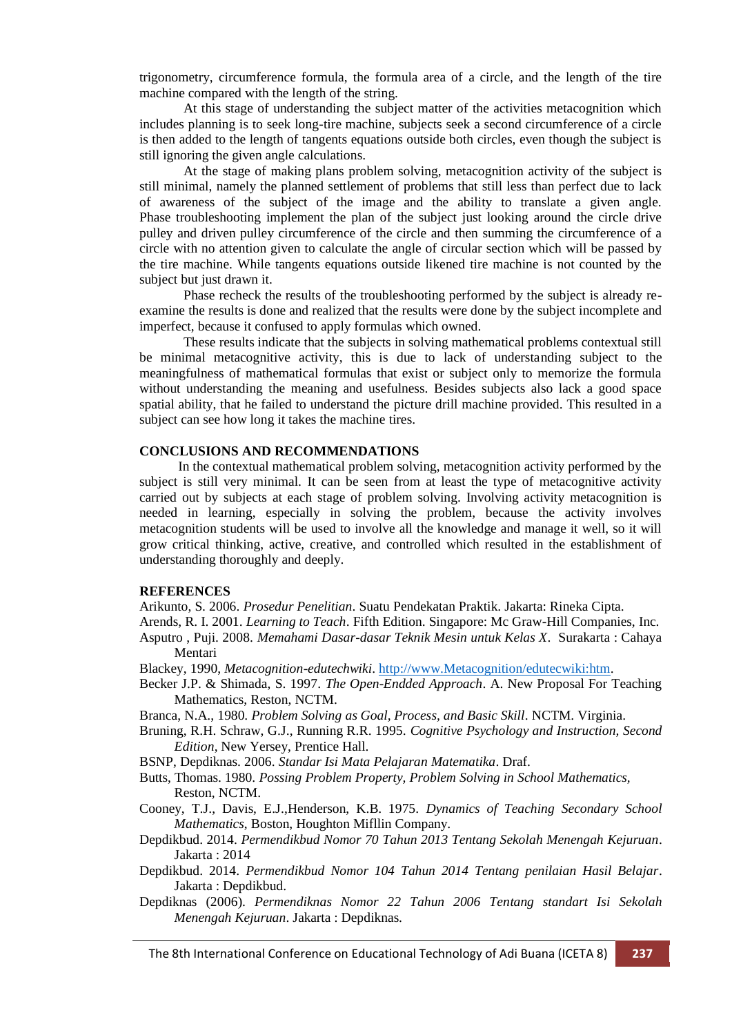trigonometry, circumference formula, the formula area of a circle, and the length of the tire machine compared with the length of the string.

At this stage of understanding the subject matter of the activities metacognition which includes planning is to seek long-tire machine, subjects seek a second circumference of a circle is then added to the length of tangents equations outside both circles, even though the subject is still ignoring the given angle calculations.

At the stage of making plans problem solving, metacognition activity of the subject is still minimal, namely the planned settlement of problems that still less than perfect due to lack of awareness of the subject of the image and the ability to translate a given angle. Phase troubleshooting implement the plan of the subject just looking around the circle drive pulley and driven pulley circumference of the circle and then summing the circumference of a circle with no attention given to calculate the angle of circular section which will be passed by the tire machine. While tangents equations outside likened tire machine is not counted by the subject but just drawn it.

Phase recheck the results of the troubleshooting performed by the subject is already reexamine the results is done and realized that the results were done by the subject incomplete and imperfect, because it confused to apply formulas which owned.

These results indicate that the subjects in solving mathematical problems contextual still be minimal metacognitive activity, this is due to lack of understanding subject to the meaningfulness of mathematical formulas that exist or subject only to memorize the formula without understanding the meaning and usefulness. Besides subjects also lack a good space spatial ability, that he failed to understand the picture drill machine provided. This resulted in a subject can see how long it takes the machine tires.

### **CONCLUSIONS AND RECOMMENDATIONS**

In the contextual mathematical problem solving, metacognition activity performed by the subject is still very minimal. It can be seen from at least the type of metacognitive activity carried out by subjects at each stage of problem solving. Involving activity metacognition is needed in learning, especially in solving the problem, because the activity involves metacognition students will be used to involve all the knowledge and manage it well, so it will grow critical thinking, active, creative, and controlled which resulted in the establishment of understanding thoroughly and deeply.

# **REFERENCES**

Arikunto, S. 2006. *Prosedur Penelitian*. Suatu Pendekatan Praktik. Jakarta: Rineka Cipta.

Arends, R. I. 2001. *Learning to Teach*. Fifth Edition. Singapore: Mc Graw-Hill Companies, Inc. Asputro , Puji. 2008. *Memahami Dasar-dasar Teknik Mesin untuk Kelas X*. Surakarta : Cahaya Mentari

- Blackey, 1990, *Metacognition-edutechwiki*. [http://www.Metacognition/edutecwiki:htm.](http://www.metacognition/edutecwiki:htm)
- Becker J.P. & Shimada, S. 1997. *The Open-Endded Approach*. A. New Proposal For Teaching Mathematics, Reston, NCTM.
- Branca, N.A., 1980. *Problem Solving as Goal, Process, and Basic Skill*. NCTM. Virginia.
- Bruning, R.H. Schraw, G.J., Running R.R. 1995. *Cognitive Psychology and Instruction, Second Edition*, New Yersey, Prentice Hall.
- BSNP, Depdiknas. 2006. *Standar Isi Mata Pelajaran Matematika*. Draf.
- Butts, Thomas. 1980. *Possing Problem Property, Problem Solving in School Mathematics,* Reston, NCTM.
- Cooney, T.J., Davis, E.J.,Henderson, K.B. 1975. *Dynamics of Teaching Secondary School Mathematics*, Boston, Houghton Mifllin Company.
- Depdikbud. 2014. *Permendikbud Nomor 70 Tahun 2013 Tentang Sekolah Menengah Kejuruan*. Jakarta : 2014
- Depdikbud. 2014. *Permendikbud Nomor 104 Tahun 2014 Tentang penilaian Hasil Belajar*. Jakarta : Depdikbud.
- Depdiknas (2006). *Permendiknas Nomor 22 Tahun 2006 Tentang standart Isi Sekolah Menengah Kejuruan*. Jakarta : Depdiknas.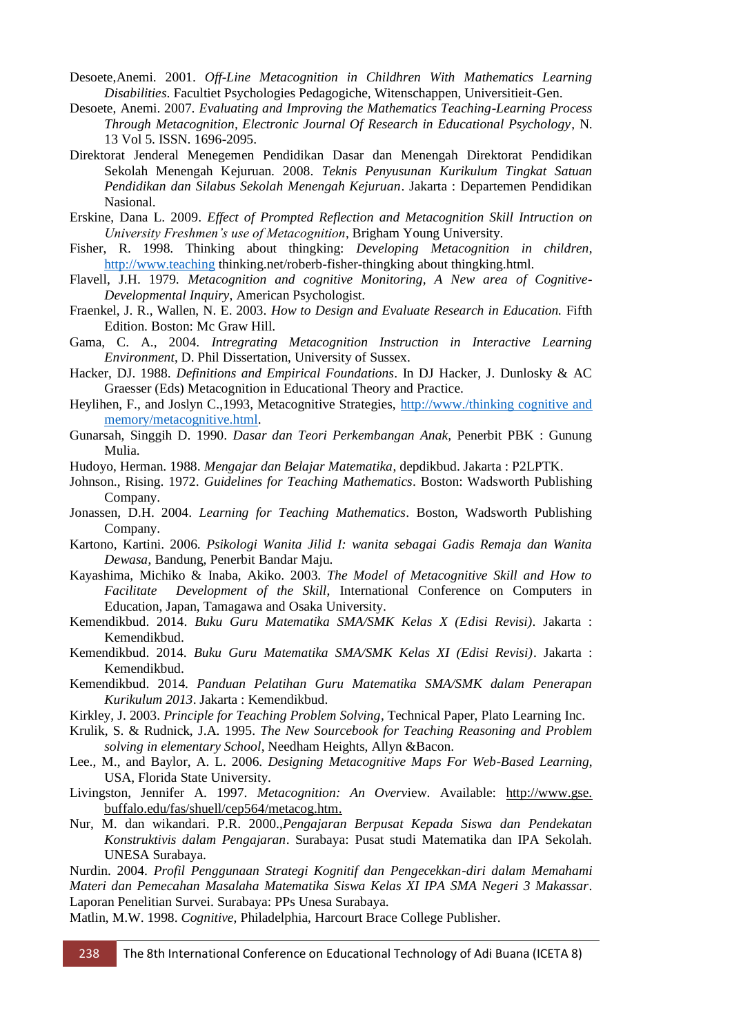- Desoete,Anemi. 2001. *Off-Line Metacognition in Childhren With Mathematics Learning Disabilities*. Facultiet Psychologies Pedagogiche, Witenschappen, Universitieit-Gen.
- Desoete, Anemi. 2007. *Evaluating and Improving the Mathematics Teaching-Learning Process Through Metacognition, Electronic Journal Of Research in Educational Psychology*, N. 13 Vol 5. ISSN. 1696-2095.
- Direktorat Jenderal Menegemen Pendidikan Dasar dan Menengah Direktorat Pendidikan Sekolah Menengah Kejuruan. 2008. *Teknis Penyusunan Kurikulum Tingkat Satuan Pendidikan dan Silabus Sekolah Menengah Kejuruan*. Jakarta : Departemen Pendidikan Nasional.
- Erskine, Dana L. 2009. *Effect of Prompted Reflection and Metacognition Skill Intruction on University Freshmen"s use of Metacognition*, Brigham Young University.
- Fisher, R. 1998. Thinking about thingking: *Developing Metacognition in children*, [http://www.teaching](http://www.teaching/) thinking.net/roberb-fisher-thingking about thingking.html.
- Flavell, J.H. 1979. *Metacognition and cognitive Monitoring, A New area of Cognitive-Developmental Inquiry*, American Psychologist.
- Fraenkel, J. R., Wallen, N. E. 2003. *How to Design and Evaluate Research in Education.* Fifth Edition. Boston: Mc Graw Hill.
- Gama, C. A., 2004. *Intregrating Metacognition Instruction in Interactive Learning Environment*, D. Phil Dissertation, University of Sussex.
- Hacker, DJ. 1988. *Definitions and Empirical Foundations*. In DJ Hacker, J. Dunlosky & AC Graesser (Eds) Metacognition in Educational Theory and Practice.
- Heylihen, F., and Joslyn C.,1993, Metacognitive Strategies, [http://www./thinking cognitive and](http://www./thinking%20cognitive%20and%20memory/metacognitive.html)  [memory/metacognitive.html.](http://www./thinking%20cognitive%20and%20memory/metacognitive.html)
- Gunarsah, Singgih D. 1990. *Dasar dan Teori Perkembangan Anak,* Penerbit PBK : Gunung Mulia.
- Hudoyo, Herman. 1988. *Mengajar dan Belajar Matematika*, depdikbud. Jakarta : P2LPTK.
- Johnson., Rising. 1972. *Guidelines for Teaching Mathematics*. Boston: Wadsworth Publishing Company.
- Jonassen, D.H. 2004. *Learning for Teaching Mathematics*. Boston, Wadsworth Publishing Company.
- Kartono, Kartini. 2006. *Psikologi Wanita Jilid I: wanita sebagai Gadis Remaja dan Wanita Dewasa*, Bandung, Penerbit Bandar Maju.
- Kayashima, Michiko & Inaba, Akiko. 2003. *The Model of Metacognitive Skill and How to Facilitate Development of the Skill*, International Conference on Computers in Education, Japan, Tamagawa and Osaka University.
- Kemendikbud. 2014. *Buku Guru Matematika SMA/SMK Kelas X (Edisi Revisi)*. Jakarta : Kemendikbud.
- Kemendikbud. 2014. *Buku Guru Matematika SMA/SMK Kelas XI (Edisi Revisi)*. Jakarta : Kemendikbud.
- Kemendikbud. 2014. *Panduan Pelatihan Guru Matematika SMA/SMK dalam Penerapan Kurikulum 2013*. Jakarta : Kemendikbud.
- Kirkley, J. 2003. *Principle for Teaching Problem Solving*, Technical Paper, Plato Learning Inc.
- Krulik, S. & Rudnick, J.A. 1995. *The New Sourcebook for Teaching Reasoning and Problem solving in elementary School*, Needham Heights, Allyn &Bacon.
- Lee., M., and Baylor, A. L. 2006. *Designing Metacognitive Maps For Web-Based Learning*, USA, Florida State University.
- Livingston, Jennifer A. 1997. *Metacognition: An Overv*iew. Available: http://www.gse. buffalo.edu/fas/shuell/cep564/metacog.htm.
- Nur, M. dan wikandari. P.R. 2000.,*Pengajaran Berpusat Kepada Siswa dan Pendekatan Konstruktivis dalam Pengajaran*. Surabaya: Pusat studi Matematika dan IPA Sekolah. UNESA Surabaya.

Nurdin. 2004. *Profil Penggunaan Strategi Kognitif dan Pengecekkan-diri dalam Memahami Materi dan Pemecahan Masalaha Matematika Siswa Kelas XI IPA SMA Negeri 3 Makassar*. Laporan Penelitian Survei. Surabaya: PPs Unesa Surabaya.

Matlin, M.W. 1998. *Cognitive*, Philadelphia, Harcourt Brace College Publisher.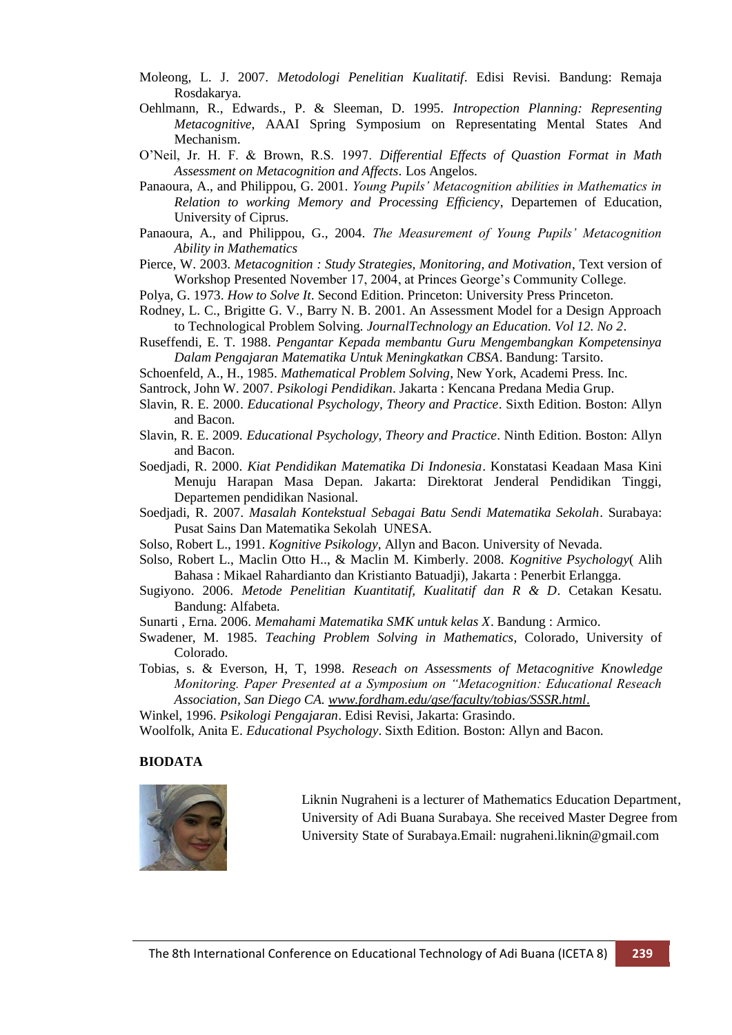- Moleong, L. J. 2007. *Metodologi Penelitian Kualitatif*. Edisi Revisi. Bandung: Remaja Rosdakarya.
- Oehlmann, R., Edwards., P. & Sleeman, D. 1995. *Intropection Planning: Representing Metacognitive*, AAAI Spring Symposium on Representating Mental States And Mechanism.
- O'Neil, Jr. H. F. & Brown, R.S. 1997. *Differential Effects of Quastion Format in Math Assessment on Metacognition and Affects*. Los Angelos.
- Panaoura, A., and Philippou, G. 2001. *Young Pupils" Metacognition abilities in Mathematics in Relation to working Memory and Processing Efficiency*, Departemen of Education, University of Ciprus.
- Panaoura, A., and Philippou, G., 2004. *The Measurement of Young Pupils" Metacognition Ability in Mathematics*
- Pierce, W. 2003. *Metacognition : Study Strategies, Monitoring, and Motivation*, Text version of Workshop Presented November 17, 2004, at Princes George's Community College.

Polya, G. 1973. *How to Solve It*. Second Edition. Princeton: University Press Princeton.

- Rodney, L. C., Brigitte G. V., Barry N. B. 2001. An Assessment Model for a Design Approach to Technological Problem Solving. *JournalTechnology an Education. Vol 12. No 2*.
- Ruseffendi, E. T. 1988. *Pengantar Kepada membantu Guru Mengembangkan Kompetensinya Dalam Pengajaran Matematika Untuk Meningkatkan CBSA*. Bandung: Tarsito.
- Schoenfeld, A., H., 1985. *Mathematical Problem Solving*, New York, Academi Press. Inc.
- Santrock, John W. 2007. *Psikologi Pendidikan*. Jakarta : Kencana Predana Media Grup.
- Slavin, R. E. 2000. *Educational Psychology, Theory and Practice*. Sixth Edition. Boston: Allyn and Bacon.
- Slavin, R. E. 2009. *Educational Psychology, Theory and Practice*. Ninth Edition. Boston: Allyn and Bacon.
- Soedjadi, R. 2000. *Kiat Pendidikan Matematika Di Indonesia*. Konstatasi Keadaan Masa Kini Menuju Harapan Masa Depan. Jakarta: Direktorat Jenderal Pendidikan Tinggi, Departemen pendidikan Nasional.
- Soedjadi, R. 2007. *Masalah Kontekstual Sebagai Batu Sendi Matematika Sekolah*. Surabaya: Pusat Sains Dan Matematika Sekolah UNESA.
- Solso, Robert L., 1991. *Kognitive Psikology*, Allyn and Bacon. University of Nevada.
- Solso, Robert L., Maclin Otto H.., & Maclin M. Kimberly. 2008. *Kognitive Psychology*( Alih Bahasa : Mikael Rahardianto dan Kristianto Batuadji), Jakarta : Penerbit Erlangga.
- Sugiyono. 2006. *Metode Penelitian Kuantitatif, Kualitatif dan R & D*. Cetakan Kesatu. Bandung: Alfabeta.
- Sunarti , Erna. 2006. *Memahami Matematika SMK untuk kelas X*. Bandung : Armico.
- Swadener, M. 1985. *Teaching Problem Solving in Mathematics*, Colorado, University of Colorado.
- Tobias, s. & Everson, H, T, 1998. *Reseach on Assessments of Metacognitive Knowledge Monitoring. Paper Presented at a Symposium on "Metacognition: Educational Reseach Association, San Diego CA. www.fordham.edu/gse/faculty/tobias/SSSR.html*.
- Winkel, 1996. *Psikologi Pengajaran*. Edisi Revisi, Jakarta: Grasindo.
- Woolfolk, Anita E. *Educational Psychology*. Sixth Edition. Boston: Allyn and Bacon.

#### **BIODATA**



Liknin Nugraheni is a lecturer of Mathematics Education Department, University of Adi Buana Surabaya. She received Master Degree from University State of Surabaya.Email: nugraheni.liknin@gmail.com